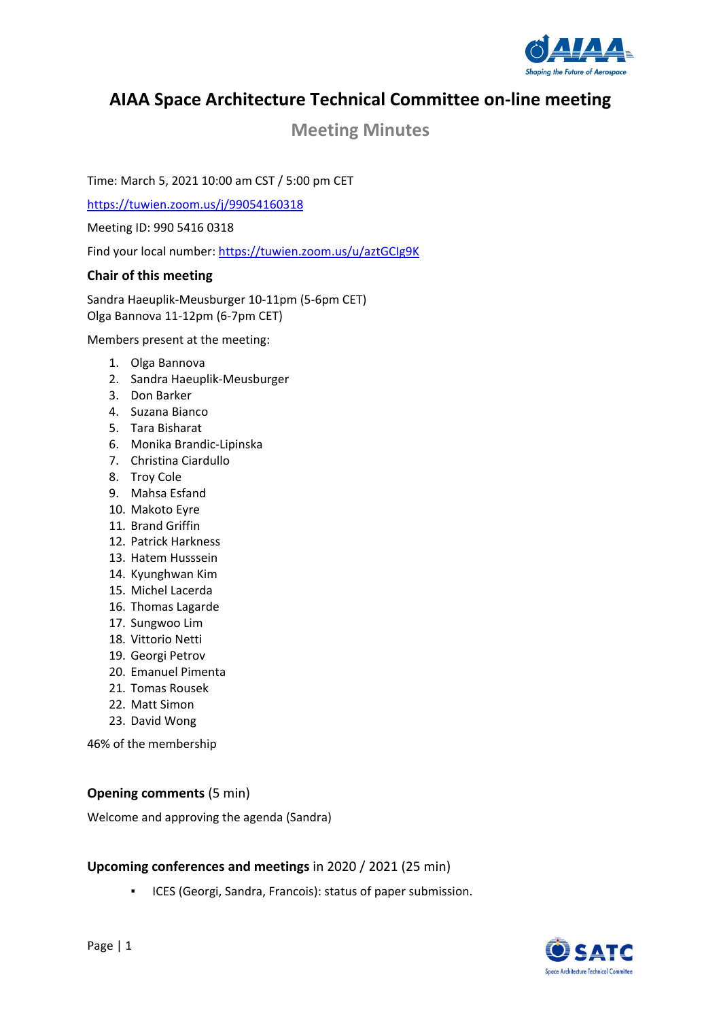

# **AIAA Space Architecture Technical Committee on‐line meeting**

# **Meeting Minutes**

Time: March 5, 2021 10:00 am CST / 5:00 pm CET

https://tuwien.zoom.us/j/99054160318

Meeting ID: 990 5416 0318

Find your local number: https://tuwien.zoom.us/u/aztGCIg9K

# **Chair of this meeting**

Sandra Haeuplik‐Meusburger 10‐11pm (5‐6pm CET) Olga Bannova 11‐12pm (6‐7pm CET)

Members present at the meeting:

- 1. Olga Bannova
- 2. Sandra Haeuplik‐Meusburger
- 3. Don Barker
- 4. Suzana Bianco
- 5. Tara Bisharat
- 6. Monika Brandic‐Lipinska
- 7. Christina Ciardullo
- 8. Troy Cole
- 9. Mahsa Esfand
- 10. Makoto Eyre
- 11. Brand Griffin
- 12. Patrick Harkness
- 13. Hatem Husssein
- 14. Kyunghwan Kim
- 15. Michel Lacerda
- 16. Thomas Lagarde
- 17. Sungwoo Lim
- 18. Vittorio Netti
- 19. Georgi Petrov
- 20. Emanuel Pimenta
- 21. Tomas Rousek
- 22. Matt Simon
- 23. David Wong

46% of the membership

# **Opening comments** (5 min)

Welcome and approving the agenda (Sandra)

### **Upcoming conferences and meetings** in 2020 / 2021 (25 min)

ICES (Georgi, Sandra, Francois): status of paper submission.

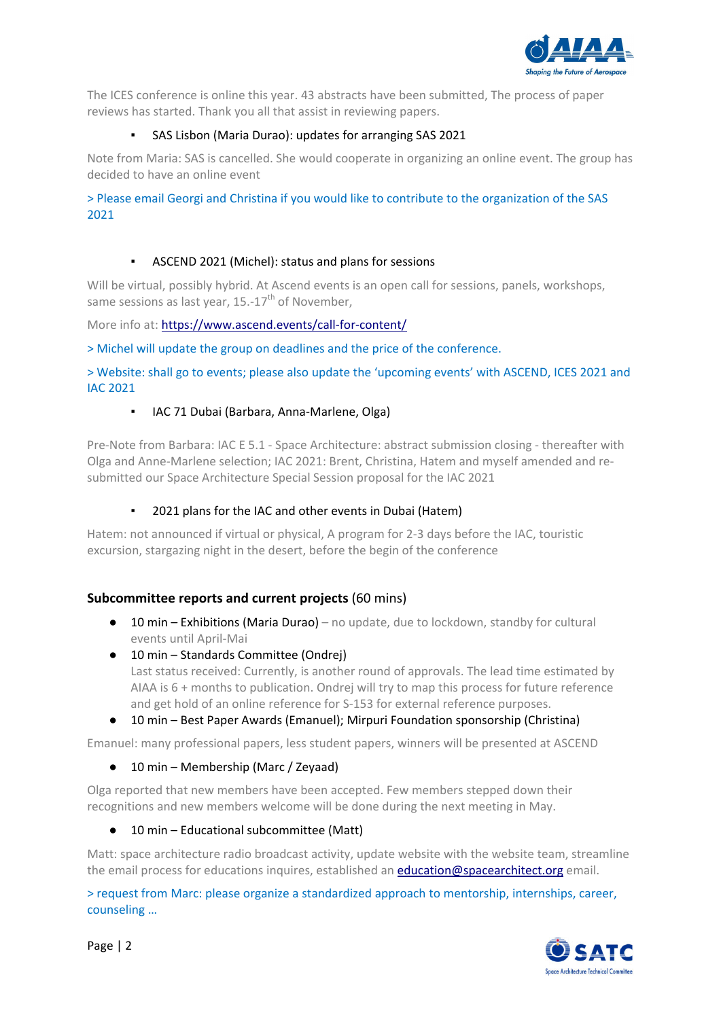

The ICES conference is online this year. 43 abstracts have been submitted, The process of paper reviews has started. Thank you all that assist in reviewing papers.

# SAS Lisbon (Maria Durao): updates for arranging SAS 2021

Note from Maria: SAS is cancelled. She would cooperate in organizing an online event. The group has decided to have an online event

> Please email Georgi and Christina if you would like to contribute to the organization of the SAS 2021

# ASCEND 2021 (Michel): status and plans for sessions

Will be virtual, possibly hybrid. At Ascend events is an open call for sessions, panels, workshops, same sessions as last year, 15.-17<sup>th</sup> of November,

More info at: https://www.ascend.events/call-for-content/

> Michel will update the group on deadlines and the price of the conference.

> Website: shall go to events; please also update the 'upcoming events' with ASCEND, ICES 2021 and IAC 2021

### IAC 71 Dubai (Barbara, Anna-Marlene, Olga)

Pre‐Note from Barbara: IAC E 5.1 ‐ Space Architecture: abstract submission closing ‐ thereafter with Olga and Anne‐Marlene selection; IAC 2021: Brent, Christina, Hatem and myself amended and re‐ submitted our Space Architecture Special Session proposal for the IAC 2021

#### 2021 plans for the IAC and other events in Dubai (Hatem)

Hatem: not announced if virtual or physical, A program for 2‐3 days before the IAC, touristic excursion, stargazing night in the desert, before the begin of the conference

# **Subcommittee reports and current projects** (60 mins)

- $\bullet$  10 min Exhibitions (Maria Durao) no update, due to lockdown, standby for cultural events until April‐Mai
- 10 min Standards Committee (Ondrej) Last status received: Currently, is another round of approvals. The lead time estimated by AIAA is 6 + months to publication. Ondrej will try to map this process for future reference and get hold of an online reference for S-153 for external reference purposes.
- 10 min Best Paper Awards (Emanuel); Mirpuri Foundation sponsorship (Christina)

Emanuel: many professional papers, less student papers, winners will be presented at ASCEND

● 10 min – Membership (Marc / Zeyaad)

Olga reported that new members have been accepted. Few members stepped down their recognitions and new members welcome will be done during the next meeting in May.

● 10 min – Educational subcommittee (Matt)

Matt: space architecture radio broadcast activity, update website with the website team, streamline the email process for educations inquires, established an education@spacearchitect.org email.

> request from Marc: please organize a standardized approach to mentorship, internships, career, counseling …

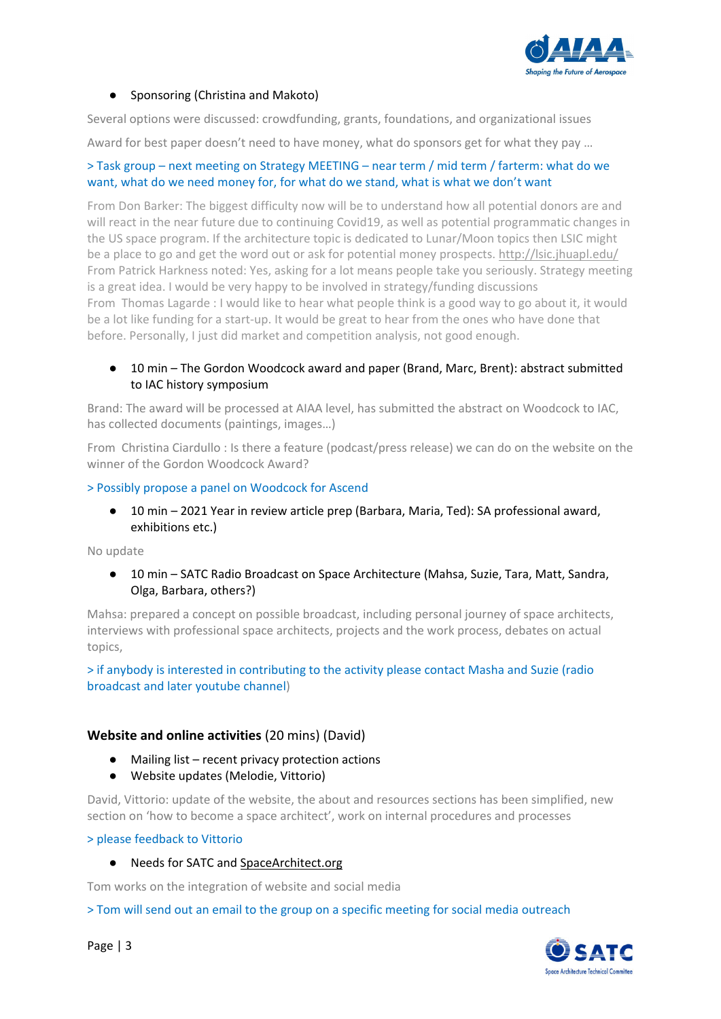

### ● Sponsoring (Christina and Makoto)

Several options were discussed: crowdfunding, grants, foundations, and organizational issues

Award for best paper doesn't need to have money, what do sponsors get for what they pay …

#### > Task group – next meeting on Strategy MEETING – near term / mid term / farterm: what do we want, what do we need money for, for what do we stand, what is what we don't want

From Don Barker: The biggest difficulty now will be to understand how all potential donors are and will react in the near future due to continuing Covid19, as well as potential programmatic changes in the US space program. If the architecture topic is dedicated to Lunar/Moon topics then LSIC might be a place to go and get the word out or ask for potential money prospects. http://lsic.jhuapl.edu/ From Patrick Harkness noted: Yes, asking for a lot means people take you seriously. Strategy meeting is a great idea. I would be very happy to be involved in strategy/funding discussions From Thomas Lagarde : I would like to hear what people think is a good way to go about it, it would be a lot like funding for a start-up. It would be great to hear from the ones who have done that before. Personally, I just did market and competition analysis, not good enough.

### ● 10 min – The Gordon Woodcock award and paper (Brand, Marc, Brent): abstract submitted to IAC history symposium

Brand: The award will be processed at AIAA level, has submitted the abstract on Woodcock to IAC, has collected documents (paintings, images…)

From Christina Ciardullo : Is there a feature (podcast/press release) we can do on the website on the winner of the Gordon Woodcock Award?

#### > Possibly propose a panel on Woodcock for Ascend

● 10 min – 2021 Year in review article prep (Barbara, Maria, Ted): SA professional award, exhibitions etc.)

No update

● 10 min – SATC Radio Broadcast on Space Architecture (Mahsa, Suzie, Tara, Matt, Sandra, Olga, Barbara, others?)

Mahsa: prepared a concept on possible broadcast, including personal journey of space architects, interviews with professional space architects, projects and the work process, debates on actual topics,

### > if anybody is interested in contributing to the activity please contact Masha and Suzie (radio broadcast and later youtube channel)

#### **Website and online activities** (20 mins) (David)

- Mailing list recent privacy protection actions
- Website updates (Melodie, Vittorio)

David, Vittorio: update of the website, the about and resources sections has been simplified, new section on 'how to become a space architect', work on internal procedures and processes

#### > please feedback to Vittorio

● Needs for SATC and SpaceArchitect.org

Tom works on the integration of website and social media

> Tom will send out an email to the group on a specific meeting for social media outreach